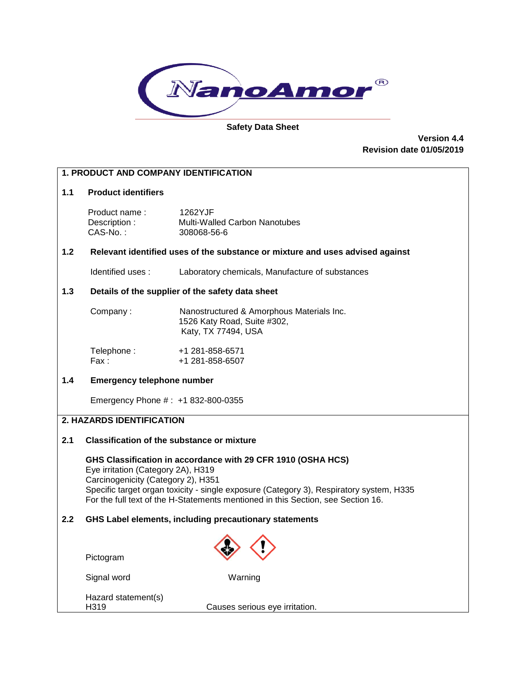

#### **Safety Data Sheet**

**Version 4.4 Revision date 01/05/2019**

# **1. PRODUCT AND COMPANY IDENTIFICATION 1.1 Product identifiers** Product name : 1262YJF Description : Multi-Walled Carbon Nanotubes<br>CAS-No. : 308068-56-6 308068-56-6 **1.2 Relevant identified uses of the substance or mixture and uses advised against** Identified uses : Laboratory chemicals, Manufacture of substances **1.3 Details of the supplier of the safety data sheet** Company : Nanostructured & Amorphous Materials Inc. 1526 Katy Road, Suite #302, Katy, TX 77494, USA Telephone: +1 281-858-6571 Fax: +1 281-858-6507 **1.4 Emergency telephone number** Emergency Phone # : +1 832-800-0355 **2. HAZARDS IDENTIFICATION 2.1 Classification of the substance or mixture GHS Classification in accordance with 29 CFR 1910 (OSHA HCS)** Eye irritation (Category 2A), H319 Carcinogenicity (Category 2), H351 Specific target organ toxicity - single exposure (Category 3), Respiratory system, H335 For the full text of the H-Statements mentioned in this Section, see Section 16. **2.2 GHS Label elements, including precautionary statements** Pictogram Signal word Warning Hazard statement(s)<br>H319 Causes serious eye irritation.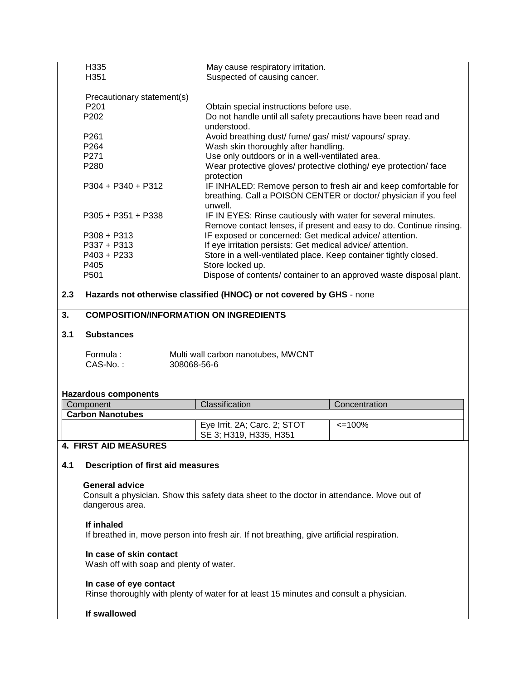|     | H335<br>May cause respiratory irritation.     |                                                                                            |                                                                                                                                     |  |  |
|-----|-----------------------------------------------|--------------------------------------------------------------------------------------------|-------------------------------------------------------------------------------------------------------------------------------------|--|--|
|     | H351                                          | Suspected of causing cancer.                                                               |                                                                                                                                     |  |  |
|     |                                               |                                                                                            |                                                                                                                                     |  |  |
|     | Precautionary statement(s)                    |                                                                                            |                                                                                                                                     |  |  |
|     | P201                                          | Obtain special instructions before use.                                                    |                                                                                                                                     |  |  |
|     | P202                                          | Do not handle until all safety precautions have been read and                              |                                                                                                                                     |  |  |
|     |                                               | understood.                                                                                |                                                                                                                                     |  |  |
|     | P261                                          | Avoid breathing dust/ fume/ gas/ mist/ vapours/ spray.                                     |                                                                                                                                     |  |  |
|     | P264                                          |                                                                                            | Wash skin thoroughly after handling.                                                                                                |  |  |
|     | P271                                          | Use only outdoors or in a well-ventilated area.                                            |                                                                                                                                     |  |  |
|     | P280                                          | Wear protective gloves/ protective clothing/ eye protection/ face                          |                                                                                                                                     |  |  |
|     |                                               | protection                                                                                 |                                                                                                                                     |  |  |
|     | $P304 + P340 + P312$                          | unwell.                                                                                    | IF INHALED: Remove person to fresh air and keep comfortable for<br>breathing. Call a POISON CENTER or doctor/ physician if you feel |  |  |
|     | $P305 + P351 + P338$                          | IF IN EYES: Rinse cautiously with water for several minutes.                               |                                                                                                                                     |  |  |
|     |                                               |                                                                                            | Remove contact lenses, if present and easy to do. Continue rinsing.                                                                 |  |  |
|     | $P308 + P313$                                 | IF exposed or concerned: Get medical advice/ attention.                                    |                                                                                                                                     |  |  |
|     | P337 + P313                                   | If eye irritation persists: Get medical advice/attention.                                  |                                                                                                                                     |  |  |
|     | P403 + P233                                   | Store in a well-ventilated place. Keep container tightly closed.                           |                                                                                                                                     |  |  |
|     | P405                                          | Store locked up.                                                                           |                                                                                                                                     |  |  |
|     | P501                                          |                                                                                            | Dispose of contents/ container to an approved waste disposal plant.                                                                 |  |  |
| 2.3 |                                               | Hazards not otherwise classified (HNOC) or not covered by GHS - none                       |                                                                                                                                     |  |  |
| 3.  | <b>COMPOSITION/INFORMATION ON INGREDIENTS</b> |                                                                                            |                                                                                                                                     |  |  |
| 3.1 | <b>Substances</b>                             |                                                                                            |                                                                                                                                     |  |  |
|     |                                               |                                                                                            |                                                                                                                                     |  |  |
|     | Formula:                                      | Multi wall carbon nanotubes, MWCNT                                                         |                                                                                                                                     |  |  |
|     | CAS-No.:<br>308068-56-6                       |                                                                                            |                                                                                                                                     |  |  |
|     |                                               |                                                                                            |                                                                                                                                     |  |  |
|     |                                               |                                                                                            |                                                                                                                                     |  |  |
|     | <b>Hazardous components</b>                   |                                                                                            |                                                                                                                                     |  |  |
|     | Component                                     | Classification                                                                             | Concentration                                                                                                                       |  |  |
|     | <b>Carbon Nanotubes</b>                       |                                                                                            |                                                                                                                                     |  |  |
|     |                                               | Eye Irrit. 2A; Carc. 2; STOT                                                               | $\leq$ 100%                                                                                                                         |  |  |
|     |                                               | SE 3; H319, H335, H351                                                                     |                                                                                                                                     |  |  |
|     |                                               |                                                                                            |                                                                                                                                     |  |  |
|     |                                               |                                                                                            |                                                                                                                                     |  |  |
|     | 4. FIRST AID MEASURES                         |                                                                                            |                                                                                                                                     |  |  |
|     |                                               |                                                                                            |                                                                                                                                     |  |  |
| 4.1 | <b>Description of first aid measures</b>      |                                                                                            |                                                                                                                                     |  |  |
|     | <b>General advice</b>                         |                                                                                            |                                                                                                                                     |  |  |
|     |                                               |                                                                                            |                                                                                                                                     |  |  |
|     | dangerous area.                               | Consult a physician. Show this safety data sheet to the doctor in attendance. Move out of  |                                                                                                                                     |  |  |
|     |                                               |                                                                                            |                                                                                                                                     |  |  |
|     | If inhaled                                    | If breathed in, move person into fresh air. If not breathing, give artificial respiration. |                                                                                                                                     |  |  |
|     |                                               |                                                                                            |                                                                                                                                     |  |  |
|     | In case of skin contact                       |                                                                                            |                                                                                                                                     |  |  |
|     | Wash off with soap and plenty of water.       |                                                                                            |                                                                                                                                     |  |  |
|     |                                               |                                                                                            |                                                                                                                                     |  |  |
|     | In case of eye contact                        |                                                                                            |                                                                                                                                     |  |  |
|     |                                               | Rinse thoroughly with plenty of water for at least 15 minutes and consult a physician.     |                                                                                                                                     |  |  |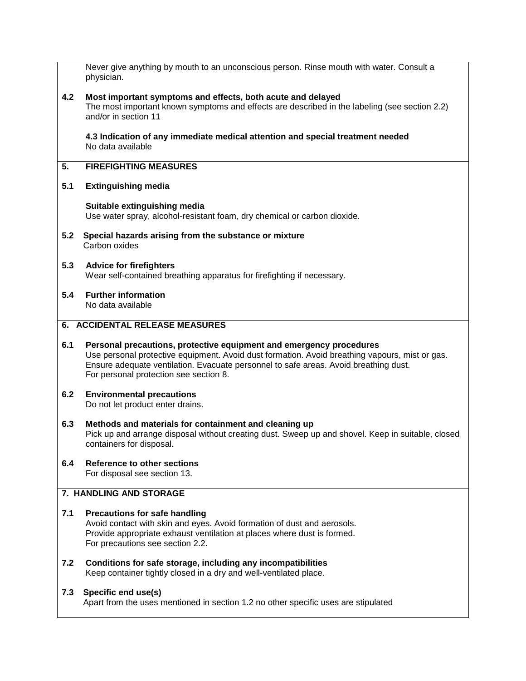|     | Never give anything by mouth to an unconscious person. Rinse mouth with water. Consult a<br>physician.                                                                                                                                                                                                  |
|-----|---------------------------------------------------------------------------------------------------------------------------------------------------------------------------------------------------------------------------------------------------------------------------------------------------------|
| 4.2 | Most important symptoms and effects, both acute and delayed<br>The most important known symptoms and effects are described in the labeling (see section 2.2)<br>and/or in section 11                                                                                                                    |
|     | 4.3 Indication of any immediate medical attention and special treatment needed<br>No data available                                                                                                                                                                                                     |
| 5.  | <b>FIREFIGHTING MEASURES</b>                                                                                                                                                                                                                                                                            |
| 5.1 | <b>Extinguishing media</b>                                                                                                                                                                                                                                                                              |
|     | Suitable extinguishing media<br>Use water spray, alcohol-resistant foam, dry chemical or carbon dioxide.                                                                                                                                                                                                |
| 5.2 | Special hazards arising from the substance or mixture<br>Carbon oxides                                                                                                                                                                                                                                  |
| 5.3 | <b>Advice for firefighters</b><br>Wear self-contained breathing apparatus for firefighting if necessary.                                                                                                                                                                                                |
| 5.4 | <b>Further information</b><br>No data available                                                                                                                                                                                                                                                         |
|     | 6. ACCIDENTAL RELEASE MEASURES                                                                                                                                                                                                                                                                          |
| 6.1 | Personal precautions, protective equipment and emergency procedures<br>Use personal protective equipment. Avoid dust formation. Avoid breathing vapours, mist or gas.<br>Ensure adequate ventilation. Evacuate personnel to safe areas. Avoid breathing dust.<br>For personal protection see section 8. |
| 6.2 | <b>Environmental precautions</b><br>Do not let product enter drains.                                                                                                                                                                                                                                    |
| 6.3 | Methods and materials for containment and cleaning up<br>Pick up and arrange disposal without creating dust. Sweep up and shovel. Keep in suitable, closed<br>containers for disposal.                                                                                                                  |
| 6.4 | <b>Reference to other sections</b><br>For disposal see section 13.                                                                                                                                                                                                                                      |
|     | 7. HANDLING AND STORAGE                                                                                                                                                                                                                                                                                 |
| 7.1 | <b>Precautions for safe handling</b><br>Avoid contact with skin and eyes. Avoid formation of dust and aerosols.<br>Provide appropriate exhaust ventilation at places where dust is formed.<br>For precautions see section 2.2.                                                                          |
| 7.2 | Conditions for safe storage, including any incompatibilities<br>Keep container tightly closed in a dry and well-ventilated place.                                                                                                                                                                       |
| 7.3 | Specific end use(s)<br>Apart from the uses mentioned in section 1.2 no other specific uses are stipulated                                                                                                                                                                                               |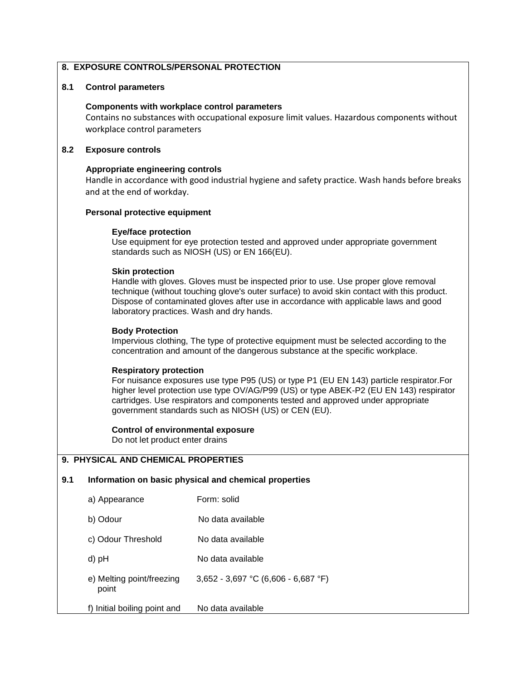# **8. EXPOSURE CONTROLS/PERSONAL PROTECTION**

# **8.1 Control parameters**

#### **Components with workplace control parameters**

 Contains no substances with occupational exposure limit values. Hazardous components without workplace control parameters

# **8.2 Exposure controls**

# **Appropriate engineering controls**

 Handle in accordance with good industrial hygiene and safety practice. Wash hands before breaks and at the end of workday.

# **Personal protective equipment**

# **Eye/face protection**

 Use equipment for eye protection tested and approved under appropriate government standards such as NIOSH (US) or EN 166(EU).

# **Skin protection**

 Handle with gloves. Gloves must be inspected prior to use. Use proper glove removal technique (without touching glove's outer surface) to avoid skin contact with this product. Dispose of contaminated gloves after use in accordance with applicable laws and good laboratory practices. Wash and dry hands.

# **Body Protection**

 Impervious clothing, The type of protective equipment must be selected according to the concentration and amount of the dangerous substance at the specific workplace.

#### **Respiratory protection**

 For nuisance exposures use type P95 (US) or type P1 (EU EN 143) particle respirator.For higher level protection use type OV/AG/P99 (US) or type ABEK-P2 (EU EN 143) respirator cartridges. Use respirators and components tested and approved under appropriate government standards such as NIOSH (US) or CEN (EU).

#### **Control of environmental exposure**

Do not let product enter drains

# **9. PHYSICAL AND CHEMICAL PROPERTIES**

#### **9.1 Information on basic physical and chemical properties**

| a) Appearance                      | Form: solid                         |
|------------------------------------|-------------------------------------|
| b) Odour                           | No data available                   |
| c) Odour Threshold                 | No data available                   |
| d) pH                              | No data available                   |
| e) Melting point/freezing<br>point | 3,652 - 3,697 °C (6,606 - 6,687 °F) |
| f) Initial boiling point and       | No data available                   |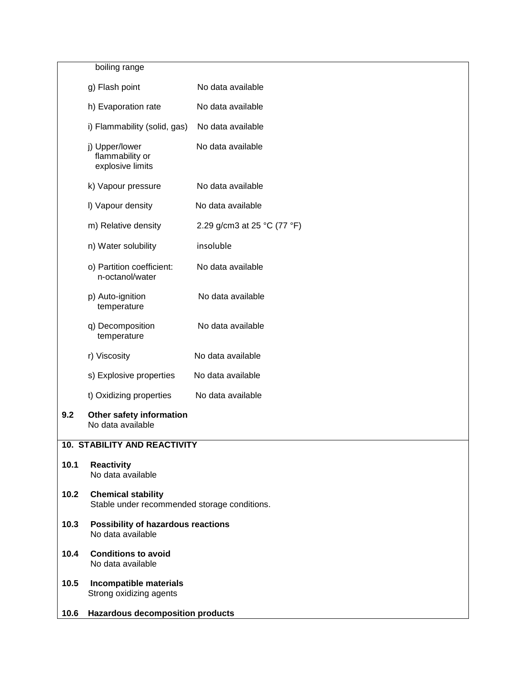boiling range

|      | g) Flash point                                                            | No data available           |
|------|---------------------------------------------------------------------------|-----------------------------|
|      | h) Evaporation rate                                                       | No data available           |
|      | i) Flammability (solid, gas) No data available                            |                             |
|      | j) Upper/lower<br>flammability or<br>explosive limits                     | No data available           |
|      | k) Vapour pressure                                                        | No data available           |
|      | I) Vapour density                                                         | No data available           |
|      | m) Relative density                                                       | 2.29 g/cm3 at 25 °C (77 °F) |
|      | n) Water solubility                                                       | insoluble                   |
|      | o) Partition coefficient:<br>n-octanol/water                              | No data available           |
|      | p) Auto-ignition<br>temperature                                           | No data available           |
|      | q) Decomposition<br>temperature                                           | No data available           |
|      | r) Viscosity                                                              | No data available           |
|      | s) Explosive properties                                                   | No data available           |
|      | t) Oxidizing properties                                                   | No data available           |
| 9.2  | Other safety information<br>No data available                             |                             |
|      | <b>10. STABILITY AND REACTIVITY</b>                                       |                             |
| 10.1 | <b>Reactivity</b><br>No data available                                    |                             |
| 10.2 | <b>Chemical stability</b><br>Stable under recommended storage conditions. |                             |
| 10.3 | Possibility of hazardous reactions<br>No data available                   |                             |

- **10.4 Conditions to avoid** No data available
- **10.5 Incompatible materials** Strong oxidizing agents
- **10.6 Hazardous decomposition products**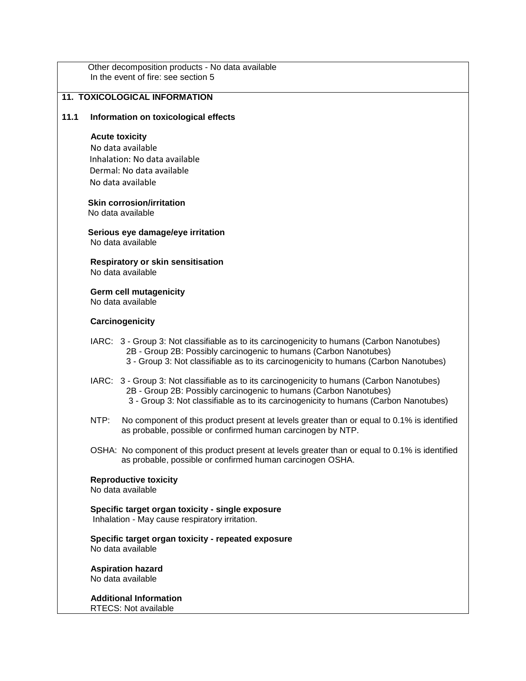|      | Other decomposition products - No data available<br>In the event of fire: see section 5                                                                                                                                                                 |  |  |
|------|---------------------------------------------------------------------------------------------------------------------------------------------------------------------------------------------------------------------------------------------------------|--|--|
|      | <b>11. TOXICOLOGICAL INFORMATION</b>                                                                                                                                                                                                                    |  |  |
| 11.1 | Information on toxicological effects                                                                                                                                                                                                                    |  |  |
|      | <b>Acute toxicity</b><br>No data available<br>Inhalation: No data available<br>Dermal: No data available<br>No data available                                                                                                                           |  |  |
|      | <b>Skin corrosion/irritation</b><br>No data available                                                                                                                                                                                                   |  |  |
|      | Serious eye damage/eye irritation<br>No data available                                                                                                                                                                                                  |  |  |
|      | <b>Respiratory or skin sensitisation</b><br>No data available                                                                                                                                                                                           |  |  |
|      | <b>Germ cell mutagenicity</b><br>No data available                                                                                                                                                                                                      |  |  |
|      | Carcinogenicity                                                                                                                                                                                                                                         |  |  |
|      | IARC: 3 - Group 3: Not classifiable as to its carcinogenicity to humans (Carbon Nanotubes)<br>2B - Group 2B: Possibly carcinogenic to humans (Carbon Nanotubes)<br>3 - Group 3: Not classifiable as to its carcinogenicity to humans (Carbon Nanotubes) |  |  |
|      | IARC: 3 - Group 3: Not classifiable as to its carcinogenicity to humans (Carbon Nanotubes)<br>2B - Group 2B: Possibly carcinogenic to humans (Carbon Nanotubes)<br>3 - Group 3: Not classifiable as to its carcinogenicity to humans (Carbon Nanotubes) |  |  |
|      | NTP:<br>No component of this product present at levels greater than or equal to 0.1% is identified<br>as probable, possible or confirmed human carcinogen by NTP.                                                                                       |  |  |
|      | OSHA: No component of this product present at levels greater than or equal to 0.1% is identified<br>as probable, possible or confirmed human carcinogen OSHA.                                                                                           |  |  |
|      | <b>Reproductive toxicity</b><br>No data available                                                                                                                                                                                                       |  |  |
|      | Specific target organ toxicity - single exposure<br>Inhalation - May cause respiratory irritation.                                                                                                                                                      |  |  |
|      | Specific target organ toxicity - repeated exposure<br>No data available                                                                                                                                                                                 |  |  |
|      | <b>Aspiration hazard</b><br>No data available                                                                                                                                                                                                           |  |  |
|      | <b>Additional Information</b><br>RTECS: Not available                                                                                                                                                                                                   |  |  |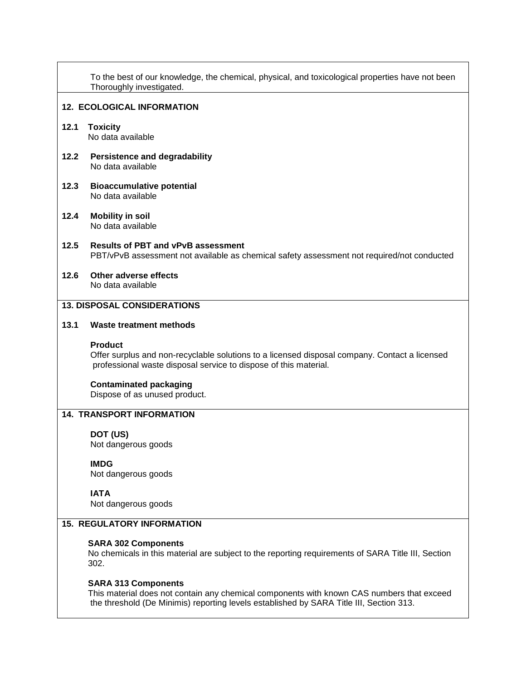|      | To the best of our knowledge, the chemical, physical, and toxicological properties have not been<br>Thoroughly investigated.                                                        |
|------|-------------------------------------------------------------------------------------------------------------------------------------------------------------------------------------|
|      | <b>12. ECOLOGICAL INFORMATION</b>                                                                                                                                                   |
| 12.1 | <b>Toxicity</b><br>No data available                                                                                                                                                |
| 12.2 | <b>Persistence and degradability</b><br>No data available                                                                                                                           |
| 12.3 | <b>Bioaccumulative potential</b><br>No data available                                                                                                                               |
| 12.4 | <b>Mobility in soil</b><br>No data available                                                                                                                                        |
| 12.5 | <b>Results of PBT and vPvB assessment</b><br>PBT/vPvB assessment not available as chemical safety assessment not required/not conducted                                             |
| 12.6 | Other adverse effects<br>No data available                                                                                                                                          |
|      | <b>13. DISPOSAL CONSIDERATIONS</b>                                                                                                                                                  |
| 13.1 | <b>Waste treatment methods</b>                                                                                                                                                      |
|      | <b>Product</b><br>Offer surplus and non-recyclable solutions to a licensed disposal company. Contact a licensed<br>professional waste disposal service to dispose of this material. |
|      | <b>Contaminated packaging</b><br>Dispose of as unused product.                                                                                                                      |
|      | <b>14. TRANSPORT INFORMATION</b>                                                                                                                                                    |
|      | DOT (US)<br>Not dangerous goods                                                                                                                                                     |
|      | <b>IMDG</b><br>Not dangerous goods                                                                                                                                                  |
|      | <b>IATA</b><br>Not dangerous goods                                                                                                                                                  |
|      | <b>15. REGULATORY INFORMATION</b>                                                                                                                                                   |
|      | <b>SARA 302 Components</b><br>No chemicals in this material are subject to the reporting requirements of SARA Title III, Section<br>302.                                            |
|      | <b>SARA 313 Components</b>                                                                                                                                                          |

 This material does not contain any chemical components with known CAS numbers that exceed the threshold (De Minimis) reporting levels established by SARA Title III, Section 313.